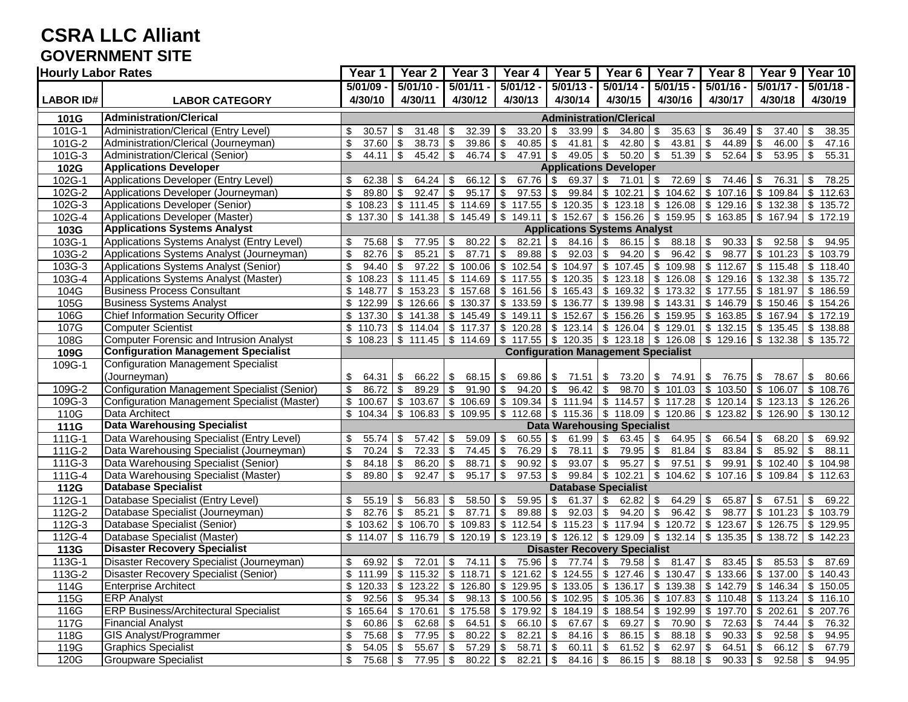#### **CSRA LLC Alliant GOVERNMENT SITE**

| <b>Hourly Labor Rates</b> |                                                                  | Year 1                         | $\overline{Y}$ ear 2                | Year <sub>3</sub>                                  | Year 4                | Year $\overline{5}$                                                                                                           | Year <sub>6</sub>                                              | Year <sub>7</sub>           | Year 8                                                                                                   | Year 9                                                     | Year 10                                             |  |
|---------------------------|------------------------------------------------------------------|--------------------------------|-------------------------------------|----------------------------------------------------|-----------------------|-------------------------------------------------------------------------------------------------------------------------------|----------------------------------------------------------------|-----------------------------|----------------------------------------------------------------------------------------------------------|------------------------------------------------------------|-----------------------------------------------------|--|
|                           |                                                                  | 5/01/09 -                      | $5/01/10 -$                         | $5/01/11 -$                                        | $5/01/12 -$           | $5/01/13 -$                                                                                                                   | $5/01/14 -$                                                    | $5/01/15 -$                 | $5/01/16 -$                                                                                              | $5/01/17 -$                                                | $5/01/18 -$                                         |  |
| <b>LABOR ID#</b>          | <b>LABOR CATEGORY</b>                                            | 4/30/10                        | 4/30/11                             | 4/30/12                                            | 4/30/13               | 4/30/14                                                                                                                       | 4/30/15                                                        | 4/30/16                     | 4/30/17                                                                                                  | 4/30/18                                                    | 4/30/19                                             |  |
| 101G                      | <b>Administration/Clerical</b>                                   | <b>Administration/Clerical</b> |                                     |                                                    |                       |                                                                                                                               |                                                                |                             |                                                                                                          |                                                            |                                                     |  |
| 101G-1                    | Administration/Clerical (Entry Level)                            | \$<br>30.57                    | \$<br>31.48                         | 32.39<br>- \$                                      | 33.20<br>\$           | \$<br>33.99                                                                                                                   | $34.80$ \$<br>-\$                                              | 35.63                       | \$<br>36.49                                                                                              | $37.40$ \\$<br>-\$                                         | 38.35                                               |  |
| 101G-2                    | Administration/Clerical (Journeyman)                             | \$<br>37.60                    | 38.73<br>\$                         | \$<br>39.86                                        | 40.85<br>\$           | \$<br>41.81                                                                                                                   | \$<br>42.80                                                    | 43.81<br>\$                 | $\overline{\mathbf{e}}$<br>44.89                                                                         | \$<br>$46.00$ \$                                           | 47.16                                               |  |
| $101G - 3$                | Administration/Clerical (Senior)                                 | \$<br>44.11                    | \$<br>45.42                         | $\sqrt{3}$<br>$46.74$ \\$                          | $47.91$ \\$           | 49.05                                                                                                                         | $\sqrt{3}$<br>$50.20$ \$                                       | $51.39$ \$                  | 52.64                                                                                                    | -\$<br>$53.95$ \$                                          | 55.31                                               |  |
| 102G                      | <b>Applications Developer</b>                                    |                                | <b>Applications Developer</b>       |                                                    |                       |                                                                                                                               |                                                                |                             |                                                                                                          |                                                            |                                                     |  |
| 102G-1                    | Applications Developer (Entry Level)                             | \$<br>62.38                    | \$<br>64.24                         | 66.12<br>-\$                                       | 67.76<br>\$           | \$<br>69.37                                                                                                                   | \$<br>$71.01$ \\$                                              | 72.69                       | \$<br>74.46                                                                                              | 76.31<br>- \$                                              | 78.25<br>\$                                         |  |
| 102G-2                    | Applications Developer (Journeyman)                              | \$<br>89.80                    | \$<br>92.47                         | \$<br>95.17                                        | 97.53<br>\$           | $\overline{\mathbf{3}}$<br>99.84                                                                                              | \$<br>102.21                                                   | 104.62<br>\$                | \$107.16                                                                                                 | \$                                                         | $109.84$ \$ 112.63                                  |  |
| 102G-3                    | Applications Developer (Senior)                                  | \$<br>108.23                   |                                     |                                                    |                       | $$111.45$ $$114.69$ $$117.55$ $$120.35$                                                                                       | $\frac{1}{3}$ 123.18 $\frac{1}{3}$ 126.08 $\frac{1}{3}$ 129.16 |                             |                                                                                                          | $\sqrt{3}$                                                 | 132.38 \$ 135.72                                    |  |
| 102G-4                    | Applications Developer (Master)                                  | \$<br>137.30                   | \$141.38                            | $\sqrt[6]{\frac{1}{2}}$                            | 145.49 \$ 149.11      |                                                                                                                               | $$152.67$ $$156.26$ $$159.95$ $$163.85$                        |                             |                                                                                                          | $\sqrt{2}$                                                 | 167.94 \$172.19                                     |  |
| 103G                      | <b>Applications Systems Analyst</b>                              |                                |                                     |                                                    |                       | <b>Applications Systems Analyst</b>                                                                                           |                                                                |                             |                                                                                                          |                                                            |                                                     |  |
| 103G-1                    | Applications Systems Analyst (Entry Level)                       | \$<br>75.68                    | \$<br>77.95                         | 80.22<br>\$                                        | $\sqrt{3}$<br>82.21   | $\boldsymbol{\mathsf{S}}$<br>84.16                                                                                            | $\sqrt[6]{3}$<br>$86.15$ \$                                    | $88.18$ \$                  | 90.33                                                                                                    | $92.58$ \$<br>\$                                           | 94.95                                               |  |
| 103G-2                    | Applications Systems Analyst (Journeyman)                        | \$<br>82.76                    | \$<br>85.21                         | \$<br>87.71                                        | 89.88<br>\$           | \$<br>92.03                                                                                                                   | \$<br>$94.20$ \$                                               | 96.42                       | $\boldsymbol{\mathsf{S}}$<br>98.77                                                                       | $$101.23$ \\$                                              | 103.79                                              |  |
| 103G-3                    | Applications Systems Analyst (Senior)                            | \$<br>94.40                    | \$<br>97.22                         |                                                    | $$100.06$ \ \$ 102.54 | \$104.97                                                                                                                      | $$107.45$ $$109.98$ $$112.67$                                  |                             |                                                                                                          |                                                            | $$115.48$ \ $$118.40$                               |  |
| 103G-4                    | Applications Systems Analyst (Master)                            | \$<br>108.23                   | \$111.45                            |                                                    |                       | $$114.69$ $$117.55$ $$120.35$                                                                                                 | $\frac{1}{2}$ 123.18 $\frac{1}{2}$ 126.08 $\frac{1}{2}$ 129.16 |                             |                                                                                                          | $\frac{1}{2}$ 132.38 \ \$ 135.72                           |                                                     |  |
| 104G                      | <b>Business Process Consultant</b>                               | \$<br>148.77                   | \$<br>153.23                        | \$<br>157.68                                       | \$161.56              | \$165.43                                                                                                                      | $\sqrt{2}$<br>169.32                                           | $\sqrt[6]{3}$               | 173.32 \$ 177.55                                                                                         | \$<br>$181.97$ \$                                          | 186.59                                              |  |
| 105G                      | <b>Business Systems Analyst</b>                                  | $\overline{\$}$ 122.99         | \$126.66                            | \$130.37                                           |                       | $$133.59$ \\$ 136.77                                                                                                          | $\frac{1}{2}$ 139.98 \ \$ 143.31 \ \$ 146.79                   |                             |                                                                                                          |                                                            | $\frac{1}{150.46}$ \$ 154.26                        |  |
| 106G                      | Chief Information Security Officer                               | \$<br>137.30                   | $\overline{\$}$ 141.38              | \$145.49                                           | \$149.11              | $\overline{\$}$ 152.67                                                                                                        | $$156.26 \, \text{\r{}}\,$ \$ 159.95 \text{\r{}}\, \$ 163.85   |                             |                                                                                                          | $\sqrt[6]{\frac{1}{2}}$                                    | 167.94 \$172.19                                     |  |
| 107G                      | <b>Computer Scientist</b>                                        |                                |                                     |                                                    |                       | $\frac{1}{2}$ 10.73 \ \ 114.04 \ \ 117.37 \ \ 120.28 \ \ 123.14 \ \ 126.04 \ \ 129.01 \ \ 132.15 \ \ 135.45 \ \ 136.88        |                                                                |                             |                                                                                                          |                                                            |                                                     |  |
| 108G                      | Computer Forensic and Intrusion Analyst                          |                                |                                     |                                                    |                       | $$108.23$ $$111.45$ $$14.69$ $$117.55$ $$120.35$ $$123.18$ $$126.08$ $$129.16$                                                |                                                                |                             |                                                                                                          | $\frac{1}{2}$ 132.38 \ \ \$ 135.72                         |                                                     |  |
| 109G                      | <b>Configuration Management Specialist</b>                       |                                |                                     |                                                    |                       | <b>Configuration Management Specialist</b>                                                                                    |                                                                |                             |                                                                                                          |                                                            |                                                     |  |
| 109G-1                    | <b>Configuration Management Specialist</b>                       |                                |                                     |                                                    |                       |                                                                                                                               |                                                                |                             |                                                                                                          |                                                            |                                                     |  |
|                           | (Journeyman)                                                     | \$<br>64.31                    | 66.22<br>\$                         | \$<br>68.15                                        | \$                    | 69.86 \$ 71.51                                                                                                                | $\frac{1}{2}$ 73.20 $\frac{1}{2}$ 74.91 $\frac{1}{2}$ 76.75    |                             |                                                                                                          | \$<br>78.67                                                | 80.66<br>\$                                         |  |
| 109G-2                    | Configuration Management Specialist (Senior)                     | \$<br>86.72                    | \$<br>89.29                         | \$<br>$91.90$ \$                                   | $94.20$ \$            | 96.42                                                                                                                         | \$                                                             | $98.70$ \$ 101.03 \$ 103.50 |                                                                                                          |                                                            | $$106.07$ \ \$ 108.76                               |  |
| 109G-3                    | Configuration Management Specialist (Master)                     | \$<br>100.67                   | \$103.67                            |                                                    |                       | $\frac{1}{2}$ 106.69 \ \$ 109.34 \ \$ 111.94                                                                                  | $\frac{1}{2}$ 114.57 $\frac{1}{2}$ 117.28 $\frac{1}{2}$ 120.14 |                             |                                                                                                          | \$<br>$123.13$ \$                                          | 126.26                                              |  |
| 110G                      | Data Architect                                                   | \$104.34                       | \$106.83                            |                                                    |                       | $\frac{1}{3}$ 109.95 $\frac{1}{3}$ 112.68 $\frac{1}{3}$ 115.36 $\frac{1}{3}$ 118.09 $\frac{1}{3}$ 120.86 $\frac{1}{3}$ 123.82 |                                                                |                             |                                                                                                          | $$126.90 \;   \; $130.12$                                  |                                                     |  |
| 111G                      | <b>Data Warehousing Specialist</b>                               |                                |                                     |                                                    |                       | <b>Data Warehousing Specialist</b>                                                                                            |                                                                |                             |                                                                                                          |                                                            |                                                     |  |
| 111G-1                    | Data Warehousing Specialist (Entry Level)                        | 55.74<br>\$                    | 57.42<br>\$                         | 59.09<br>\$                                        | 60.55<br>\$           | \$<br>61.99                                                                                                                   | \$<br>$63.45$ \$                                               | $64.95$ \$                  | 66.54                                                                                                    | 68.20                                                      | 69.92<br>S.                                         |  |
| 111G-2                    | Data Warehousing Specialist (Journeyman)                         | 70.24<br>\$                    | \$<br>72.33                         | \$<br>$74.45$ \$                                   | 76.29                 | \$<br>78.11                                                                                                                   | \$<br>79.95 \$                                                 | $81.84$ \$                  | 83.84                                                                                                    | \$<br>$85.92$ \$                                           | 88.11                                               |  |
| 111G-3                    | Data Warehousing Specialist (Senior)                             | \$<br>84.18                    | \$<br>86.20                         | \$<br>88.71                                        | \$<br>90.92           | \$<br>93.07                                                                                                                   | $\boldsymbol{\mathsf{\$}}$<br>95.27                            | 97.51<br>\$                 | $\boldsymbol{\mathsf{S}}$<br>99.91                                                                       | $\sqrt[6]{\frac{1}{2}}$<br>$102.40$ \ \$                   | 104.98                                              |  |
| $111G-4$                  | Data Warehousing Specialist (Master)                             | \$<br>89.80                    | \$<br>92.47                         | $\sqrt[6]{3}$<br>95.17                             | $97.53$ \$<br>\$      | 99.84                                                                                                                         | $\frac{1}{2}$ 102.21 \ \$ 104.62 \ \$ 107.16                   |                             |                                                                                                          | $$109.84$ $$112.63$                                        |                                                     |  |
| 112G                      | <b>Database Specialist</b>                                       |                                |                                     |                                                    |                       |                                                                                                                               | <b>Database Specialist</b>                                     |                             |                                                                                                          |                                                            |                                                     |  |
| 112G-1                    | Database Specialist (Entry Level)                                | \$<br>55.19                    | 56.83<br>\$                         | 58.50<br>\$                                        | 59.95<br>\$           | \$<br>61.37                                                                                                                   | \$<br>$62.82$ \ \$                                             | $64.29$ \$                  | 65.87                                                                                                    | $67.51$ $\frac{1}{3}$<br>\$                                | 69.22                                               |  |
| 112G-2                    | Database Specialist (Journeyman)<br>Database Specialist (Senior) | \$<br>82.76                    | $\boldsymbol{\mathsf{S}}$<br>85.21  | $\sqrt[6]{3}$<br>87.71<br>$\overline{\mathcal{L}}$ | 89.88<br>\$<br>112.54 | $\boldsymbol{\mathsf{S}}$<br>92.03<br>\$115.23                                                                                | \$<br>$94.20$ \$<br>\$117.94                                   | $96.42$ \$                  | 98.77<br>120.72 \$123.67                                                                                 | $$101.23$ \ \$<br>$\boldsymbol{\mathsf{S}}$<br>$126.75$ \$ | 103.79                                              |  |
| 112G-3                    | Database Specialist (Master)                                     | \$<br>103.62<br>\$114.07       | \$<br>106.70<br>\$116.79            | 109.83                                             | \$                    | $\frac{1}{3}$ 120.19 $\frac{1}{3}$ 123.19 $\frac{1}{3}$ 126.12 $\frac{1}{3}$ 129.09 $\frac{1}{3}$ 132.14 $\frac{1}{3}$ 135.35 |                                                                | \$                          |                                                                                                          | $$138.72 \  $142.23$                                       | 129.95                                              |  |
| 112G-4<br>113G            | <b>Disaster Recovery Specialist</b>                              |                                |                                     |                                                    |                       | <b>Disaster Recovery Specialist</b>                                                                                           |                                                                |                             |                                                                                                          |                                                            |                                                     |  |
| 113G-1                    | Disaster Recovery Specialist (Journeyman)                        | \$<br>69.92                    | \$<br>72.01                         | \$<br>74.11                                        | 75.96<br>\$           | \$<br>77.74                                                                                                                   | \$<br>$79.58$ \$                                               |                             | 83.45                                                                                                    | $85.53$   \$                                               | 87.69                                               |  |
| 113G-2                    | Disaster Recovery Specialist (Senior)                            | \$                             |                                     |                                                    |                       | 111.99 \$ 115.32 \$ 118.71 \$ 121.62 \$ 124.55 \$ 127.46 \$ 130.47 \$ 133.66 \$ 137.00 \$ 140.43                              |                                                                |                             |                                                                                                          |                                                            |                                                     |  |
| 114G                      | <b>Enterprise Architect</b>                                      | \$120.33                       | \$123.22                            |                                                    |                       | $\frac{1}{2}$ \$ 126.80 \ \$ 129.95 \ \$ 133.05                                                                               |                                                                |                             | $\frac{1}{3}$ 136.17 $\frac{1}{3}$ 139.38 $\frac{1}{3}$ 142.79 $\frac{1}{3}$ 146.34 $\frac{1}{3}$ 150.05 |                                                            |                                                     |  |
| 115G                      | <b>ERP</b> Analyst                                               | \$<br>92.56                    | $\boldsymbol{\mathsf{S}}$<br>95.34  | \$                                                 |                       | $98.13$ \$ 100.56 \$ 102.95                                                                                                   | $\sqrt[6]{\frac{4}{5}}$                                        |                             | 105.36 \$107.83 \$110.48                                                                                 |                                                            | $\sqrt{$}3.24$ \ $\sqrt{$}3.24$ \ $\sqrt{$}3.16.10$ |  |
| 116G                      | <b>ERP Business/Architectural Specialist</b>                     | \$<br>165.64                   | $\overline{\$}$ 170.61              |                                                    |                       | $$175.58 \t{5} 179.92 \t{5} 184.19$                                                                                           | $\sqrt{3}$                                                     |                             |                                                                                                          |                                                            | 188.54 \$192.99 \$197.70 \$202.61 \$207.76          |  |
| 117G                      | <b>Financial Analyst</b>                                         | \$<br>60.86                    | \$<br>62.68                         | \$<br>64.51 \$                                     | 66.10 \$              | 67.67                                                                                                                         | \$<br>$69.27$ \$                                               | 70.90 \$                    | 72.63                                                                                                    | $74.44$ \$<br><b>\$</b>                                    | 76.32                                               |  |
| 118G                      | <b>GIS Analyst/Programmer</b>                                    | \$                             | 77.95                               | $\boldsymbol{\mathsf{S}}$                          | 82.21                 | $\boldsymbol{\mathsf{\$}}$<br>84.16                                                                                           | $86.15$ \$<br>\$                                               | $88.18$ \$                  | 90.33                                                                                                    | $92.58$ \$<br>\$                                           | 94.95                                               |  |
| 119G                      | <b>Graphics Specialist</b>                                       | \$<br>54.05                    | $\boldsymbol{\mathsf{\$}}$<br>55.67 | $\boldsymbol{\mathsf{\$}}$<br>$57.29$ \$           | $58.71$ \$            | 60.11                                                                                                                         | $\sqrt{3}$<br>$61.52$ \$                                       | $62.97$ \$                  | 64.51                                                                                                    | \$<br>$66.12$ \$                                           | 67.79                                               |  |
| 120G                      | <b>Groupware Specialist</b>                                      | $75.68$ \$<br>\$               | 77.95                               | $\sqrt{3}$<br>$80.22$ \$                           |                       | $84.16$ \$                                                                                                                    | $86.15$ \$                                                     | $88.18$ \$                  | 90.33                                                                                                    | \$<br>$92.58$ \$                                           | 94.95                                               |  |
|                           |                                                                  |                                |                                     |                                                    |                       |                                                                                                                               |                                                                |                             |                                                                                                          |                                                            |                                                     |  |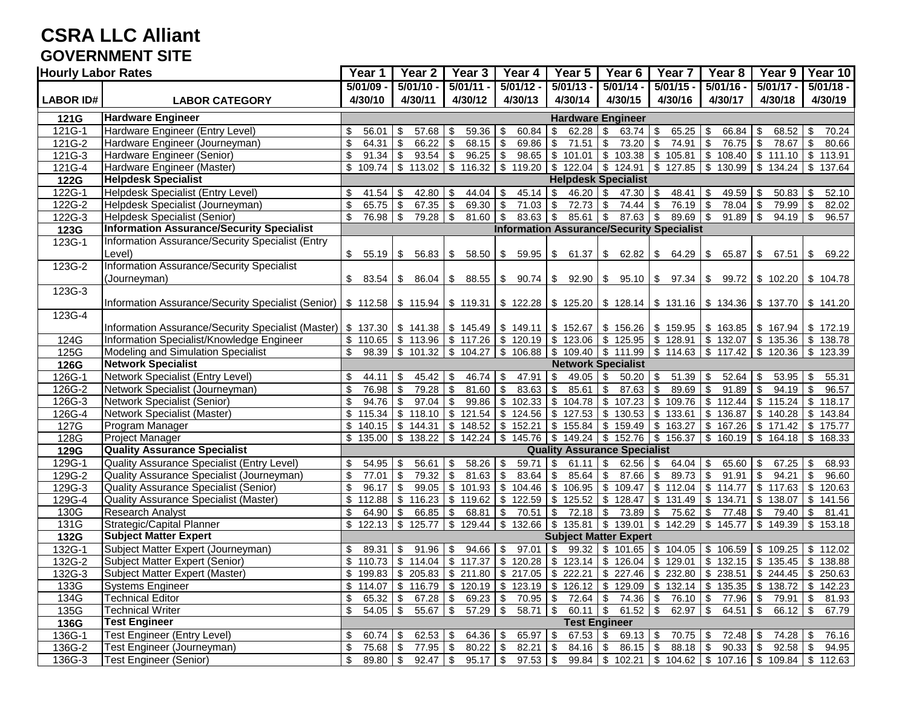#### **CSRA LLC Alliant GOVERNMENT SITE**

| <b>Hourly Labor Rates</b> |                                                                                                                                                                            | Year 1                           | $\overline{Y}$ ear 2         | Year <sub>3</sub>                       | Year 4                       | $\overline{Y}$ ear 5                                           | Year <sub>6</sub>                                                                                                                                                       | Year <sub>7</sub>                   | Year 8                                     | Year 9                                  | Year 10              |
|---------------------------|----------------------------------------------------------------------------------------------------------------------------------------------------------------------------|----------------------------------|------------------------------|-----------------------------------------|------------------------------|----------------------------------------------------------------|-------------------------------------------------------------------------------------------------------------------------------------------------------------------------|-------------------------------------|--------------------------------------------|-----------------------------------------|----------------------|
|                           |                                                                                                                                                                            | $5/01/09$ -                      | $5/01/10 -$                  | $5/01/11 -$                             | $5/01/12 -$                  | $5/01/13 -$                                                    | $5/01/14 -$                                                                                                                                                             | $5/01/15 -$                         | $5/01/16 -$                                | $\sqrt{5/01/17}$ -                      | $5/01/18 -$          |
| <b>LABOR ID#</b>          | <b>LABOR CATEGORY</b>                                                                                                                                                      | 4/30/10                          | 4/30/11                      | 4/30/12                                 | 4/30/13                      | 4/30/14                                                        | 4/30/15                                                                                                                                                                 | 4/30/16                             | 4/30/17                                    | 4/30/18                                 | 4/30/19              |
| 121G                      | <b>Hardware Engineer</b>                                                                                                                                                   |                                  |                              |                                         |                              | <b>Hardware Engineer</b>                                       |                                                                                                                                                                         |                                     |                                            |                                         |                      |
| 121G-1                    | Hardware Engineer (Entry Level)                                                                                                                                            | \$<br>56.01                      | \$<br>57.68                  | 59.36<br>\$                             | 60.84<br><b>S</b>            | $\sqrt{3}$                                                     | $63.74$ \$                                                                                                                                                              | 65.25                               | $\sqrt{3}$<br>66.84                        | 68.52<br>\$                             | 70.24<br>-\$         |
| 121G-2                    | Hardware Engineer (Journeyman)                                                                                                                                             | $\overline{\mathbf{S}}$<br>64.31 | \$<br>66.22                  | \$<br>68.15                             | $\sqrt{3}$<br>69.86          | $\overline{\bullet}$<br>71.51                                  | \$<br>73.20                                                                                                                                                             | 74.91<br>$\sqrt{3}$                 | $\bullet$<br>76.75                         | \$<br>78.67                             | $\sqrt{3}$<br>80.66  |
| 121G-3                    | Hardware Engineer (Senior)                                                                                                                                                 | \$<br>91.34                      | $\sqrt{3}$<br>93.54          | $\sqrt[6]{2}$<br>96.25                  | l \$                         | $98.65$ \$ 101.01                                              |                                                                                                                                                                         |                                     | $$103.38 \t{5} 105.81 \t{5} 108.40$        |                                         | $$111.10$ $$113.91$  |
| 121G-4                    | Hardware Engineer (Master)                                                                                                                                                 | \$                               | 109.74 \$113.02              | \$116.32                                |                              | $\frac{1}{3}$ 119.20 $\frac{1}{3}$ 122.04 $\frac{1}{3}$ 124.91 |                                                                                                                                                                         |                                     | $\frac{1}{2}$ 127.85 \ \$ 130.99           | $$134.24$ \ $$137.64$                   |                      |
| <b>122G</b>               | <b>Helpdesk Specialist</b>                                                                                                                                                 |                                  |                              |                                         |                              |                                                                | <b>Helpdesk Specialist</b>                                                                                                                                              |                                     |                                            |                                         |                      |
| 122G-1                    | Helpdesk Specialist (Entry Level)                                                                                                                                          | \$<br>41.54                      | -\$<br>42.80                 | 44.04<br>S                              | \$                           | 46.20                                                          | \$<br>47.30                                                                                                                                                             | \$<br>48.41                         | 49.59<br>-\$                               | 50.83                                   | 52.10<br>\$          |
| 122G-2                    | Helpdesk Specialist (Journeyman)                                                                                                                                           | $$\mathbb{S}$$<br>$65.75$ \$     | 67.35                        | \$<br>69.30                             | $71.03$ \$<br>$\sqrt{3}$     | 72.73                                                          | 74.44<br>\$                                                                                                                                                             | $76.19$ \$<br>$\sqrt{3}$            | 78.04                                      | \$<br>79.99                             | 82.02<br>$\sqrt{3}$  |
| 122G-3                    | Helpdesk Specialist (Senior)                                                                                                                                               | \$<br>$76.98$ \$                 | 79.28                        | \$<br>81.60                             | $83.63$ \$<br>l \$           | $85.61$ \$                                                     |                                                                                                                                                                         | $89.69$ \$                          | 91.89                                      | \$<br>$94.19$ \$                        | 96.57                |
| 123G                      | <b>Information Assurance/Security Specialist</b>                                                                                                                           |                                  |                              |                                         |                              |                                                                | <b>Information Assurance/Security Specialist</b>                                                                                                                        |                                     |                                            |                                         |                      |
| 123G-1                    | Information Assurance/Security Specialist (Entry                                                                                                                           |                                  |                              |                                         |                              |                                                                |                                                                                                                                                                         |                                     |                                            |                                         |                      |
|                           | Level)                                                                                                                                                                     | $$55.19$ \ \$                    | 56.83                        | 58.50<br>\$                             |                              | $\frac{1}{5}$ 59.95 \ \$ 61.37                                 | $$62.82 \  \  $64.29 \  \  $$                                                                                                                                           |                                     | 65.87                                      | \$67.51                                 | 69.22<br><b>S</b>    |
| 123G-2                    | Information Assurance/Security Specialist                                                                                                                                  |                                  |                              |                                         |                              |                                                                |                                                                                                                                                                         |                                     |                                            |                                         |                      |
|                           | (Journeyman)                                                                                                                                                               | S.<br>83.54   \$                 | 86.04                        | \$                                      |                              |                                                                | $88.55$ $\frac{1}{3}$ 90.74 $\frac{1}{3}$ 92.90 $\frac{1}{3}$ 95.10 $\frac{1}{3}$ 97.34 $\frac{1}{3}$ 99.72 $\frac{1}{3}$ 102.20 $\frac{1}{3}$ 104.78                   |                                     |                                            |                                         |                      |
| 123G-3                    |                                                                                                                                                                            |                                  |                              |                                         |                              |                                                                |                                                                                                                                                                         |                                     |                                            |                                         |                      |
|                           | Information Assurance/Security Specialist (Senior)   \$ 112.58   \$ 115.94   \$ 119.31   \$ 122.28   \$ 125.20   \$ 128.14   \$ 131.16   \$ 131.36   \$ 137.70   \$ 141.20 |                                  |                              |                                         |                              |                                                                |                                                                                                                                                                         |                                     |                                            |                                         |                      |
| 123G-4                    |                                                                                                                                                                            |                                  |                              |                                         |                              |                                                                |                                                                                                                                                                         |                                     |                                            |                                         |                      |
|                           | Information Assurance/Security Specialist (Master)   \$ 137.30   \$ 141.38   \$ 145.49   \$ 149.11   \$ 152.67   \$ 156.26   \$ 159.95   \$ 163.85   \$ 167.94   \$ 172.19 |                                  |                              |                                         |                              |                                                                |                                                                                                                                                                         |                                     |                                            |                                         |                      |
| 124G                      | Information Specialist/Knowledge Engineer                                                                                                                                  |                                  |                              |                                         |                              |                                                                | $\frac{1}{2}$ 10.65 \ \$ 113.96 \ \$ 117.26 \ \$ 120.19 \ \$ 123.06 \ \$ 125.95 \ \$ 128.91 \ \$ 132.07 \ \$ 135.36 \ \$ 138.78                                         |                                     |                                            |                                         |                      |
| 125G                      | Modeling and Simulation Specialist                                                                                                                                         | \$                               | 98.39 \$ 101.32              | \$104.27                                |                              |                                                                | $\frac{1}{3}$ 106.88 $\frac{1}{3}$ 109.40 $\frac{1}{3}$ 111.99 $\frac{1}{3}$ 114.63 $\frac{1}{3}$ 117.42                                                                |                                     |                                            | $\frac{1}{2}$ 120.36 \$ 123.39          |                      |
| 126G                      | <b>Network Specialist</b>                                                                                                                                                  |                                  |                              |                                         |                              |                                                                | <b>Network Specialist</b>                                                                                                                                               |                                     |                                            |                                         |                      |
| 126G-1                    | Network Specialist (Entry Level)                                                                                                                                           | \$<br>44.11<br>76.98             | \$<br>45.42<br>\$            | 46.74<br>-\$<br>\$                      | 47.91<br><b>S</b>            | \$<br>49.05                                                    | \$<br>$50.20$ \ \ \$                                                                                                                                                    | 51.39<br>89.69                      | $\sqrt{3}$<br>52.64<br>$\sqrt{3}$<br>91.89 | 53.95<br>\$<br>\$                       | 55.31<br><b>S</b>    |
| 126G-2                    | Network Specialist (Journeyman)<br><b>Network Specialist (Senior)</b>                                                                                                      | \$<br>\$<br>94.76                | 79.28<br>$\sqrt{3}$<br>97.04 | 81.60<br>99.86                          | $83.63$ \$<br>$\sqrt{3}$     | 85.61<br>$$102.33 \  $104.78$                                  | $\sqrt[6]{2}$<br>$87.63$ \$                                                                                                                                             |                                     | $\frac{1}{3}$ 109.76 \$ 112.44             | $94.19$ \$<br>$$115.24$ \ \$ 118.17     | 96.57                |
| 126G-3                    | Network Specialist (Master)                                                                                                                                                |                                  | $$115.34$ \ $$118.10$        | \$<br>$\sqrt[6]{2}$<br>121.54           |                              | $\frac{1}{2}$ 124.56 $\frac{1}{2}$ 127.53                      | \$107.23<br>\$130.53                                                                                                                                                    | $\frac{1}{3}$ 133.61 \$ 136.87      |                                            | \$140.28                                | \$143.84             |
| 126G-4<br>127G            | Program Manager                                                                                                                                                            |                                  | $$140.15$ \ $$144.31$        | \$148.52                                |                              |                                                                | $\frac{1}{3}$ 152.21 $\frac{1}{3}$ 155.84 $\frac{1}{3}$ 159.49 $\frac{1}{3}$ 163.27 $\frac{1}{3}$ 167.26                                                                |                                     |                                            | \$171.42                                | \$175.77             |
| 128G                      | Project Manager                                                                                                                                                            |                                  | $$135.00$ $$138.22$          | $\sqrt{$}$ 142.24                       |                              |                                                                | $\frac{1}{3}$ 145.76 \ \$ 149.24 \ \$ 152.76 \ \$ 156.37 \ \$ 160.19 \ \$ 164.18 \ \$ 168.33                                                                            |                                     |                                            |                                         |                      |
| 129G                      | <b>Quality Assurance Specialist</b>                                                                                                                                        |                                  |                              |                                         |                              |                                                                | <b>Quality Assurance Specialist</b>                                                                                                                                     |                                     |                                            |                                         |                      |
| 129G-1                    | Quality Assurance Specialist (Entry Level)                                                                                                                                 | $54.95$ \$<br>\$                 | 56.61                        | 58.26<br>\$                             | l \$<br>$59.71$ \$           | $61.11$ \$                                                     |                                                                                                                                                                         |                                     | 65.60                                      | \$<br>67.25                             | <b>S</b><br>68.93    |
| $129G-2$                  | Quality Assurance Specialist (Journeyman)                                                                                                                                  | \$<br>$77.01$ \$                 | 79.32                        | \$<br>81.63                             | l \$                         | 85.64                                                          | \$<br>87.66                                                                                                                                                             | $89.73$ \$<br>$\sqrt{3}$            | 91.91                                      | 94.21<br>\$                             | 96.60<br>-\$         |
| 129G-3                    | Quality Assurance Specialist (Senior)                                                                                                                                      | \$<br>96.17                      | \$<br>99.05                  | \$<br>101.93                            |                              | $$104.46 \t$106.95$                                            | \$109.47                                                                                                                                                                | $\frac{1}{2}$ \$ 112.04 \ \$ 114.77 |                                            | $\overline{\$}$ 117.63                  | <b>S</b><br>120.63   |
| 129G-4                    | Quality Assurance Specialist (Master)                                                                                                                                      |                                  | $$112.88$ \ $$116.23$        | \$119.62                                |                              | $\frac{1}{2}$ 122.59 $\frac{1}{2}$ 125.52                      | \$128.47                                                                                                                                                                |                                     | $\frac{1}{3}$ 131.49 $\frac{1}{3}$ 134.71  | \$138.07                                | \$141.56             |
| 130G                      | <b>Research Analyst</b>                                                                                                                                                    | \$<br>$64.90$ \$                 | 66.85                        | \$<br>68.81                             | l \$<br>$70.51$ \\$          | 72.18                                                          | \$<br>73.89 \$                                                                                                                                                          | 75.62 \$                            | 77.48                                      | \$<br>$79.40$ \$                        | 81.41                |
| 131G                      | Strategic/Capital Planner                                                                                                                                                  | $$122.13$ \\$                    | 125.77                       | $\sqrt[6]{2}$<br>129.44                 | $\frac{1}{2}$ \$ 132.66 \ \$ | 135.81                                                         | $$139.01$ $$142.29$ $$145.77$                                                                                                                                           |                                     |                                            | \$149.39                                | \$153.18             |
| 132G                      | <b>Subject Matter Expert</b>                                                                                                                                               |                                  |                              |                                         |                              |                                                                | <b>Subject Matter Expert</b>                                                                                                                                            |                                     |                                            |                                         |                      |
| 132G-1                    | Subject Matter Expert (Journeyman)                                                                                                                                         | \$<br>89.31                      | 91.96<br>\$                  | 94.66<br>\$                             | $97.01$ \$<br><b>S</b>       | 99.32                                                          |                                                                                                                                                                         |                                     | $$101.65$ $$104.05$ $$106.59$              | \$109.25                                | \$112.02             |
| 132G-2                    | Subject Matter Expert (Senior)                                                                                                                                             |                                  | $$110.73$ \\$ 114.04         | \$117.37                                |                              | $\frac{1}{2}$ 120.28 \$ 123.14                                 |                                                                                                                                                                         |                                     | $$126.04 \  \$ $$129.01 \  \$ $$132.15$    |                                         | $$135.45$ \\$ 138.88 |
| 132G-3                    | Subject Matter Expert (Master)                                                                                                                                             |                                  |                              |                                         |                              |                                                                | $\frac{1}{2}$ 199.83 $\frac{1}{2}$ 205.83 $\frac{1}{2}$ 211.80 $\frac{1}{2}$ 217.05 $\frac{1}{2}$ 222.21 $\frac{1}{2}$ 227.46 $\frac{1}{2}$ 232.80 $\frac{1}{2}$ 238.51 |                                     |                                            |                                         | $$244.45$ $$250.63$  |
| 133G                      | <b>Systems Engineer</b>                                                                                                                                                    |                                  |                              |                                         |                              |                                                                | $\frac{1}{2}$ 114.07 \ \$ 116.79 \ \$ 120.19 \ \$ 123.19 \ \$ 126.12 \ \$ 129.09 \ \$ 132.14 \ \$ 135.35 \ \$ 138.72 \ \$ 142.23                                        |                                     |                                            |                                         |                      |
| 134G                      | <b>Technical Editor</b>                                                                                                                                                    | \$<br>$65.32$ \$                 | 67.28                        | $\boldsymbol{\mathsf{S}}$<br>$69.23$ \$ |                              |                                                                | 70.95 \$72.64 \$74.36 \$76.10 \$77.96 \$                                                                                                                                |                                     |                                            | 79.91 \$                                | 81.93                |
| 135G                      | <b>Technical Writer</b>                                                                                                                                                    | \$<br>$54.05$ \$                 | $55.67$ \$                   | $57.29$ \$                              | $58.71$ \$                   | $60.11$ \\$                                                    | 61.52 $\frac{1}{2}$                                                                                                                                                     | $62.97$ \$                          | $64.51$ \$                                 | $66.12$ \$                              | 67.79                |
| 136G                      | <b>Test Engineer</b>                                                                                                                                                       |                                  |                              |                                         |                              |                                                                | <b>Test Engineer</b>                                                                                                                                                    |                                     |                                            |                                         |                      |
| 136G-1                    | <b>Test Engineer (Entry Level)</b>                                                                                                                                         | $60.74$ \$<br>\$                 | 62.53                        | $64.36$ \$<br>-\$                       | $65.97$ \$                   | $67.53$ \$                                                     | $69.13$ \$                                                                                                                                                              | $70.75$ \$                          | 72.48                                      | -\$<br>$74.28$ \$                       | 76.16                |
| 136G-2                    | Test Engineer (Journeyman)                                                                                                                                                 | \$<br>75.68 \$                   | 77.95                        | $\boldsymbol{\mathsf{\$}}$<br>80.22     | $82.21$ \$<br>$\sqrt{3}$     | 84.16                                                          | $\boldsymbol{\mathsf{\$}}$<br>$86.15$ \$                                                                                                                                | $88.18$ \$                          | 90.33                                      | $\boldsymbol{\mathsf{S}}$<br>$92.58$ \$ | 94.95                |
| 136G-3                    | <b>Test Engineer (Senior)</b>                                                                                                                                              | $89.80$ \$<br>\$                 | 92.47                        | $\Theta$<br>$95.17$ \$                  | $97.53$ \$                   |                                                                | $99.84$   \$ 102.21   \$ 104.62   \$ 107.16   \$ 109.84   \$ 112.63                                                                                                     |                                     |                                            |                                         |                      |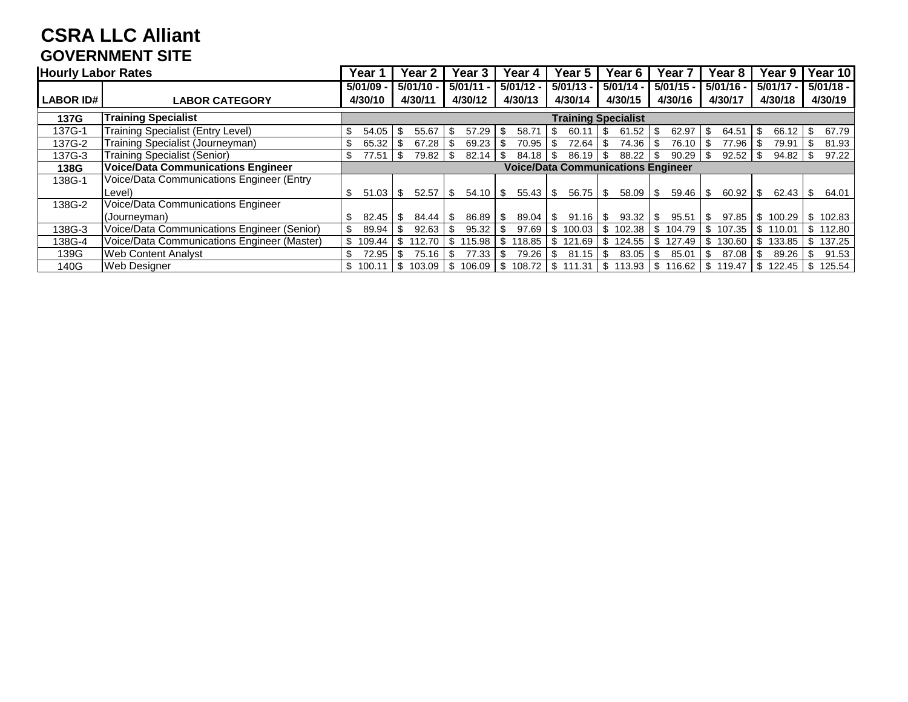# **CSRA LLC Alliant GOVERNMENT SITE**

| <b>Hourly Labor Rates</b> |                                             | Year 1       | Year                       | 2      |      | <b>Year 3</b>      |     | Year 4      |     | Year<br>5                                 |             | Year 6         |      | Year 7             | Year 8       |      | Year 9              |      | Year 10     |
|---------------------------|---------------------------------------------|--------------|----------------------------|--------|------|--------------------|-----|-------------|-----|-------------------------------------------|-------------|----------------|------|--------------------|--------------|------|---------------------|------|-------------|
|                           |                                             | 5/01/09      | $5/01/10 -$                |        |      | 5/01/11            |     | $5/01/12 -$ |     | $5/01/13 -$                               | $5/01/14 -$ |                |      | $5/01/15 -$        | $5/01/16 -$  |      | $5/01/17 -$         |      | $5/01/18 -$ |
| <b>LABOR ID#</b>          | <b>LABOR CATEGORY</b>                       | 4/30/10      | 4/30/11                    |        |      | 4/30/12            |     | 4/30/13     |     | 4/30/14                                   |             | 4/30/15        |      | 4/30/16            | 4/30/17      |      | 4/30/18             |      | 4/30/19     |
| 137G                      | Training Specialist                         |              | <b>Training Specialist</b> |        |      |                    |     |             |     |                                           |             |                |      |                    |              |      |                     |      |             |
| 137G-1                    | Training Specialist (Entry Level)           | \$<br>54.05  | \$                         | 55.67  | S.   | 57.29              | -\$ | 58.71       | S.  | 60.11                                     | - \$        | 61.52          | - \$ | 62.97              | \$<br>64.51  | - \$ |                     |      | 67.79       |
| 137G-2                    | Fraining Specialist (Journeyman)            | \$<br>65.32  |                            | 67.28  |      | 69.23              |     | 70.95       | \$. | 72.64                                     |             | $74.36$ \ \ \$ |      | 76.10              | 77.96        |      | 79.91               | l \$ | 81.93       |
| 137G-3                    | <b>Training Specialist (Senior)</b>         | \$<br>77.51  | \$                         | 79.82  | \$   | 82.14              |     | 84.18       | \$  | 86.19                                     | - \$        | 88.22          |      | 90.29              | 92.52        |      |                     |      | 97.22       |
| 138G                      | <b>Voice/Data Communications Engineer</b>   |              |                            |        |      |                    |     |             |     | <b>Voice/Data Communications Engineer</b> |             |                |      |                    |              |      |                     |      |             |
| 138G-1                    | Voice/Data Communications Engineer (Entry   |              |                            |        |      |                    |     |             |     |                                           |             |                |      |                    |              |      |                     |      |             |
|                           | Level)                                      | \$<br>51.03  | S.                         | 52.57  | ∣\$. | $54.10$ \ \$       |     | 55.43       | \$  | $56.75$ \ \ \$                            |             | $58.09$ \ \$   |      | 59.46              | \$<br>60.92  | - \$ | $62.43$   \$        |      | 64.01       |
| 138G-2                    | Voice/Data Communications Engineer          |              |                            |        |      |                    |     |             |     |                                           |             |                |      |                    |              |      |                     |      |             |
|                           | (Journeyman)                                | 82.45<br>S.  | \$.                        | 84.44  | l SS | $86.89$ \ \$       |     | 89.04       | \$  | 91.16                                     | l \$        | $93.32$   \$   |      | 95.51              | \$<br>97.85  |      | \$100.29 \$102.83   |      |             |
| 138G-3                    | Voice/Data Communications Engineer (Senior) | \$<br>89.94  |                            | 92.63  | -S   | 95.32              | -\$ | 97.69       |     | \$100.03                                  |             |                |      | 104.79             | \$<br>107.35 |      | \$110.01            |      | S 112.80    |
| 138G-4                    | Voice/Data Communications Engineer (Master) | S<br>109.44  | S.                         | 112.70 | \$   |                    |     | 118.85      |     | \$121.69                                  | \$          |                |      | 124.55   \$ 127.49 | \$<br>130.60 |      | \$133.85   \$137.25 |      |             |
| 139G                      | <b>Web Content Analyst</b>                  | \$<br>72.95  | \$                         | 75.16  | -S   | 77.33              | -\$ | 79.26       | \$  | 81.15                                     | - \$        | $83.05$ \ \ \$ |      | 85.01              | \$<br>87.08  | -\$  | $89.26$ \ \ \$      |      | 91.53       |
| 140G                      | <b>Web Designer</b>                         | S.<br>100.11 | -S                         | 103.09 | l \$ | 106.09   \$ 108.72 |     |             |     | \$111.31                                  |             |                |      | \$113.93 \$116.62  | \$119.47     |      | \$122.45            | - \$ | 125.54      |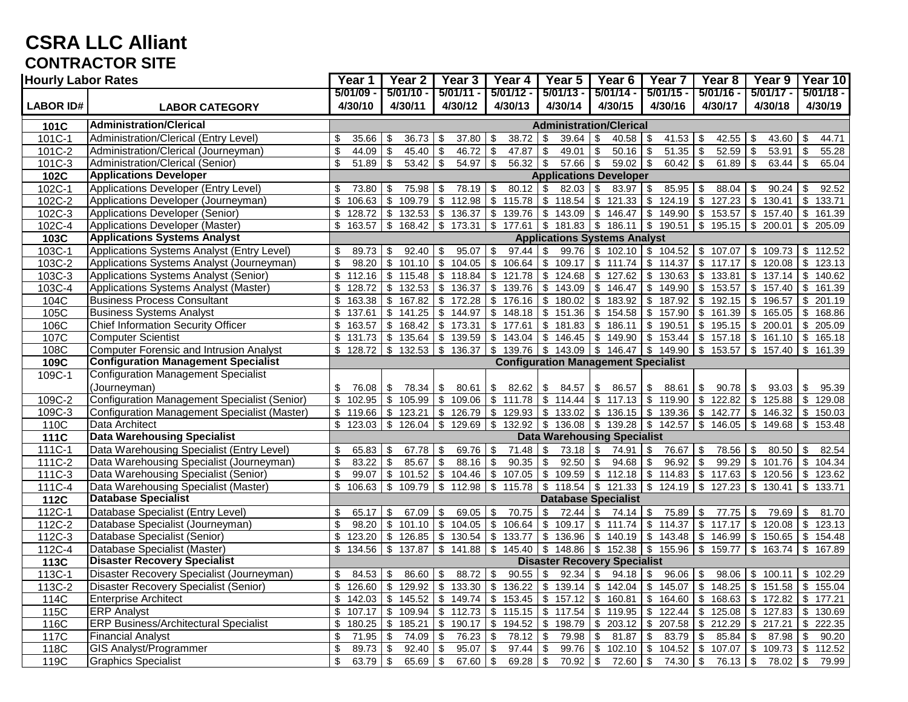# **CSRA LLC Alliant CONTRACTOR SITE**

|                  | <b>Hourly Labor Rates</b>                                          |                                  | Year 2                              | Year 3                                                      | Year 4                                 | Year 5                                                                                                                                          | Year 6                                                         | Year <sub>7</sub>       | Year <sub>8</sub>                             | Year 9                           | Year 10                               |  |
|------------------|--------------------------------------------------------------------|----------------------------------|-------------------------------------|-------------------------------------------------------------|----------------------------------------|-------------------------------------------------------------------------------------------------------------------------------------------------|----------------------------------------------------------------|-------------------------|-----------------------------------------------|----------------------------------|---------------------------------------|--|
|                  |                                                                    | $5/01/09 -$                      | $5/01/10 -$                         | $5/01/11 -$                                                 | $5/01/12 -$                            | $5/01/13 -$                                                                                                                                     | $5/01/14 -$                                                    | $5/01/15 -$             | $5/01/16 -$                                   | $5/01/17 -$                      | $5/01/18 -$                           |  |
| <b>LABOR ID#</b> | <b>LABOR CATEGORY</b>                                              | 4/30/10                          | 4/30/11                             | 4/30/12                                                     | 4/30/13                                | 4/30/14                                                                                                                                         | 4/30/15                                                        | 4/30/16                 | 4/30/17                                       | 4/30/18                          | 4/30/19                               |  |
| 101C             | <b>Administration/Clerical</b>                                     |                                  |                                     |                                                             |                                        | <b>Administration/Clerical</b>                                                                                                                  |                                                                |                         |                                               |                                  |                                       |  |
| 101C-1           | Administration/Clerical (Entry Level)                              | \$<br>35.66                      | 36.73<br>\$                         | 37.80<br>\$                                                 | 38.72<br>\$                            | \$<br>39.64                                                                                                                                     | <b>S</b>                                                       | 41.53                   | \$<br>42.55                                   | 43.60                            | \$<br>44.71                           |  |
| 101C-2           | Administration/Clerical (Journeyman)                               | \$<br>44.09                      | \$<br>45.40                         | \$<br>46.72                                                 | \$<br>47.87                            | $\mathfrak{L}$<br>49.01                                                                                                                         | $\sqrt{3}$<br>$50.16$ \$                                       | 51.35                   | 52.59<br>$\sqrt[6]{2}$                        | 53.91<br>\$                      | 55.28<br>  \$                         |  |
| 101C-3           | Administration/Clerical (Senior)                                   | $\overline{\mathbf{s}}$<br>51.89 | \$<br>53.42                         | \$<br>54.97                                                 | \$<br>56.32                            | \$<br>$57.66$ \$                                                                                                                                | $59.02$ \$                                                     | 60.42                   | \$<br>61.89                                   | \$<br>$63.44$ \ \$               | 65.04                                 |  |
| 102C             | <b>Applications Developer</b>                                      | <b>Applications Developer</b>    |                                     |                                                             |                                        |                                                                                                                                                 |                                                                |                         |                                               |                                  |                                       |  |
| $102C-1$         | Applications Developer (Entry Level)                               | \$<br>73.80                      | \$<br>75.98                         | 78.19<br>\$                                                 | 80.12<br>\$                            | $\sqrt[6]{3}$                                                                                                                                   | 83.97 \$                                                       | 85.95                   | 88.04<br>\$                                   | 90.24<br>\$                      | 92.52<br>\$                           |  |
| 102C-2           | Applications Developer (Journeyman)                                | \$<br>106.63                     | \$<br>109.79                        | $\sqrt[6]{3}$<br>112.98                                     | \$<br>115.78                           |                                                                                                                                                 | $$118.54$ $$121.33$ $$$                                        | 124.19                  | $\boldsymbol{\mathsf{S}}$<br>127.23           | $\sqrt[6]{2}$<br>130.41          | \$<br>133.71                          |  |
| 102C-3           | Applications Developer (Senior)                                    | \$<br>128.72                     | \$<br>132.53                        | \$<br>136.37                                                | $\sqrt[6]{2}$<br>139.76                | $\sqrt[6]{2}$<br>143.09                                                                                                                         | \$146.47                                                       | \$149.90                | \$<br>153.57                                  | \$157.40                         | \$<br>161.39                          |  |
| 102C-4           | Applications Developer (Master)                                    | \$<br>163.57                     |                                     | $$168.42$ $$173.31$ $$177.61$ $$181.83$ $$186.11$ $$190.51$ |                                        |                                                                                                                                                 |                                                                |                         | \$195.15                                      |                                  | $$200.01$ $$205.09$                   |  |
| 103C             | <b>Applications Systems Analyst</b>                                |                                  |                                     |                                                             |                                        | <b>Applications Systems Analyst</b>                                                                                                             |                                                                |                         |                                               |                                  |                                       |  |
| 103C-1           | Applications Systems Analyst (Entry Level)                         | \$<br>89.73                      | 92.40<br>\$                         | 95.07                                                       | 97.44<br>\$                            | \$<br>99.76                                                                                                                                     | $\frac{1}{3}$ 102.10 $\frac{1}{3}$ 104.52                      |                         | \$107.07                                      | \$109.73                         | \$112.52                              |  |
| 103C-2           | Applications Systems Analyst (Journeyman)                          | \$<br>98.20                      | \$<br>101.10                        | \$<br>104.05                                                | \$<br>106.64                           | \$109.17                                                                                                                                        | \$111.74                                                       | \$114.37                | \$117.17                                      |                                  | $$120.08$ \\$ 123.13                  |  |
| 103C-3           | Applications Systems Analyst (Senior)                              | \$<br>112.16                     | \$115.48                            | $\sqrt[6]{2}$<br>118.84                                     | 121.78<br>\$                           |                                                                                                                                                 | $$124.68$ \ $$127.62$                                          | \$130.63                | \$133.81                                      |                                  | $$137.14$ \ \$ 140.62                 |  |
| 103C-4           | Applications Systems Analyst (Master)                              | \$<br>128.72                     | 132.53<br>\$                        | 136.37<br>\$                                                | 139.76<br>\$                           | \$143.09                                                                                                                                        | \$146.47                                                       | \$149.90                | 153.57<br>\$                                  |                                  | 161.39                                |  |
| 104C             | <b>Business Process Consultant</b>                                 | \$<br>163.38                     | \$167.82                            | \$<br>172.28                                                |                                        | $$176.16$ \\$ 180.02                                                                                                                            | \$183.92                                                       | \$187.92                | $\$\$<br>192.15                               | \$196.57                         | $\sqrt[6]{3}$<br>201.19               |  |
| 105C             | <b>Business Systems Analyst</b>                                    | \$<br>137.61                     | \$141.25                            | \$<br>144.97                                                | \$148.18                               |                                                                                                                                                 | $$151.36$ $$154.58$ $$157.90$                                  |                         | \$161.39                                      |                                  | $$165.05$ \ \$ 168.86                 |  |
| 106C             | <b>Chief Information Security Officer</b>                          | \$<br>163.57                     | \$168.42                            | \$173.31                                                    | \$177.61                               | \$181.83                                                                                                                                        | \$186.11                                                       | \$190.51                | \$195.15                                      | \$200.01                         | 205.09<br><b>\$</b>                   |  |
| 107C             | <b>Computer Scientist</b>                                          | \$<br>131.73                     | \$135.64                            | \$139.59                                                    |                                        | $\frac{1}{2}$ \$ 143.04 $\frac{1}{2}$ 146.45 $\frac{1}{2}$ 149.90 $\frac{1}{2}$ 153.44                                                          |                                                                |                         |                                               | $$157.18$ $$161.10$ $$165.18$    |                                       |  |
| 108C             | <b>Computer Forensic and Intrusion Analyst</b>                     | \$<br>128.72                     | \$132.53                            | \$136.37                                                    | \$                                     | $139.76$ \$ 143.09 \$ 146.47 \$ 149.90                                                                                                          |                                                                |                         | \$153.57                                      | $$157.40$ \\$                    | 161.39                                |  |
| 109C             | <b>Configuration Management Specialist</b>                         |                                  |                                     |                                                             |                                        | <b>Configuration Management Specialist</b>                                                                                                      |                                                                |                         |                                               |                                  |                                       |  |
| 109C-1           | <b>Configuration Management Specialist</b>                         |                                  |                                     |                                                             |                                        |                                                                                                                                                 |                                                                |                         |                                               |                                  |                                       |  |
|                  | (Journeyman)                                                       | \$<br>76.08                      | 78.34<br>\$                         | 80.61<br>\$                                                 | \$<br>82.62                            | \$<br>84.57                                                                                                                                     | \$<br>86.57                                                    | 88.61<br>\$             | \$<br>90.78                                   | 93.03<br>\$                      | \$<br>95.39                           |  |
| 109C-2           | Configuration Management Specialist (Senior)                       | \$<br>102.95                     | \$<br>105.99                        | $\sqrt[6]{2}$<br>109.06                                     | $\sqrt[6]{\frac{1}{2}}$<br>111.78      |                                                                                                                                                 | $$114.44$ $$117.13$ $$119.90$                                  |                         | $\$\$<br>122.82                               |                                  | 129.08                                |  |
| 109C-3           | Configuration Management Specialist (Master)                       | \$119.66                         | \$123.21                            |                                                             |                                        | $$126.79$ $$129.93$ $$133.02$ $$136.15$ $$139.36$                                                                                               |                                                                |                         | \$142.77                                      | $\frac{1}{3}$ 146.32 \ \$ 150.03 |                                       |  |
| 110C             | Data Architect                                                     | \$<br>123.03                     | $\sqrt[6]{2}$<br>126.04             |                                                             |                                        | $\frac{1}{2}$ \$ 129.69 $\frac{1}{2}$ \$ 132.92 $\frac{1}{2}$ \$ 136.08 $\frac{1}{2}$ \$ 139.28 $\frac{1}{2}$ \$ 142.57 $\frac{1}{2}$ \$ 146.05 |                                                                |                         |                                               | \$149.68                         | 153.48                                |  |
| 111C             | <b>Data Warehousing Specialist</b>                                 |                                  |                                     |                                                             |                                        | <b>Data Warehousing Specialist</b>                                                                                                              |                                                                |                         |                                               |                                  |                                       |  |
| $111C-1$         | Data Warehousing Specialist (Entry Level)                          | \$<br>65.83                      | 67.78<br>\$                         | 69.76 \$<br>\$                                              | $71.48$ \\$                            | $73.18$ \\$                                                                                                                                     | $74.91$ \$                                                     | 76.67                   | 78.56<br>\$                                   | 80.50<br>\$                      | 82.54<br>\$                           |  |
| 111C-2           | Data Warehousing Specialist (Journeyman)                           | \$<br>83.22                      | $\mathfrak{L}$<br>85.67             | $\mathfrak s$<br>88.16                                      | 90.35<br>\$                            | $\mathfrak{S}$<br>92.50                                                                                                                         | $\sqrt{3}$<br>94.68                                            | 96.92<br>\$             | $\mathfrak s$<br>99.29                        | $\mathfrak s$<br>$101.76$ \$     | 104.34                                |  |
| 111C-3           | Data Warehousing Specialist (Senior)                               | $\overline{\mathbf{S}}$<br>99.07 | \$101.52                            | $\sqrt[6]{3}$                                               | 104.46 \$107.05                        |                                                                                                                                                 | $\frac{1}{2}$ 109.59 $\frac{1}{2}$ 112.18 $\frac{1}{2}$ 114.83 |                         | \$117.63                                      |                                  | $$120.56$ \ \$ 123.62                 |  |
| 111C-4           | Data Warehousing Specialist (Master)<br><b>Database Specialist</b> | \$<br>106.63                     | $\boldsymbol{\mathsf{S}}$<br>109.79 | \$<br>112.98                                                | $\sqrt[6]{\frac{1}{2}}$<br>115.78      |                                                                                                                                                 | $$118.54$ $$121.33$ $$124.19$                                  |                         | $\sqrt[6]{3}$<br>127.23                       | \$<br>130.41                     | \$<br>133.71                          |  |
| 112C<br>$112C-1$ | Database Specialist (Entry Level)                                  |                                  |                                     |                                                             |                                        | $\sqrt[6]{2}$                                                                                                                                   | <b>Database Specialist</b><br>72.44 \$ 74.14 \$ 75.89          |                         |                                               |                                  |                                       |  |
| 112C-2           | Database Specialist (Journeyman)                                   | \$<br>65.17<br>\$<br>98.20       | 67.09<br>\$<br>\$101.10             | 69.05<br><b>S</b><br>\$104.05                               | 70.75<br>\$<br>$\sqrt[6]{2}$<br>106.64 | $\sqrt{$}709.17$                                                                                                                                | \$111.74                                                       | \$114.37                | $\sqrt[6]{3}$<br>$77.75$ \$<br>\$117.17       | 79.69 \$                         | 81.70<br>123.13                       |  |
|                  | Database Specialist (Senior)                                       | \$<br>123.20                     |                                     | $$126.85$ $$130.54$ $$133.77$ $$136.96$ $$140.19$ $$143.48$ |                                        |                                                                                                                                                 |                                                                |                         |                                               | $$146.99$ $$150.65$ $$154.48$    |                                       |  |
| 112C-3<br>112C-4 | Database Specialist (Master)                                       | \$<br>134.56                     | \$<br>137.87                        | \$141.88                                                    | $\sqrt[6]{3}$<br>145.40                |                                                                                                                                                 | $$148.86 \t{5} 152.38 \t{5} 155.96$                            |                         | \$159.77                                      | $$163.74$ \\$                    | 167.89                                |  |
| 113C             | <b>Disaster Recovery Specialist</b>                                |                                  |                                     |                                                             |                                        | <b>Disaster Recovery Specialist</b>                                                                                                             |                                                                |                         |                                               |                                  |                                       |  |
| 113C-1           | Disaster Recovery Specialist (Journeyman)                          |                                  | \$                                  |                                                             | \$                                     | $\mathfrak s$                                                                                                                                   |                                                                | 96.06                   |                                               | 100.11                           |                                       |  |
| 113C-2           | Disaster Recovery Specialist (Senior)                              | \$<br>84.53<br>\$<br>126.60      | 86.60<br>\$<br>129.92               | 88.72<br>\$<br>\$<br>133.30                                 | 90.55<br>\$<br>136.22                  | 92.34<br>\$139.14                                                                                                                               | <b>\$</b><br>94.18<br>\$142.04                                 | \$<br>\$145.07          | $\sqrt[6]{2}$<br>98.06<br>\$148.25            | \$                               | 102.29<br>\$<br>$$151.58$ \ \$ 155.04 |  |
| 114C             | <b>Enterprise Architect</b>                                        | \$<br>142.03                     | $\boldsymbol{\mathsf{S}}$<br>145.52 | \$<br>149.74                                                | 153.45<br>\$                           | $\boldsymbol{\mathsf{S}}$                                                                                                                       | 157.12 \$ 160.81                                               | 164.60<br>\$            | \$<br>168.63                                  | \$172.82                         | $\sqrt{2}$<br>177.21                  |  |
| 115C             | <b>ERP Analyst</b>                                                 | \$<br>107.17                     | $\boldsymbol{\mathsf{S}}$<br>109.94 | $\boldsymbol{\mathsf{S}}$<br>112.73                         | \$<br>115.15                           | \$117.54                                                                                                                                        | $\sqrt{3}$<br>119.95                                           | 122.44<br>\$            | \$<br>125.08                                  | \$127.83                         | $\sqrt[6]{2}$<br>130.69               |  |
| 116C             | <b>ERP Business/Architectural Specialist</b>                       | 180.25<br>\$                     | \$<br>185.21                        | \$<br>190.17                                                | \$<br>194.52                           | $\boldsymbol{\mathsf{S}}$<br>198.79                                                                                                             | 203.12<br>$\sqrt{2}$                                           | $\sqrt[6]{2}$<br>207.58 | \$212.29                                      | \$<br>217.21                     | 222.35<br>$\sqrt[6]{2}$               |  |
| 117C             | <b>Financial Analyst</b>                                           | \$<br>71.95                      | $\mathfrak s$<br>74.09              | \$<br>76.23                                                 | \$<br>78.12                            | $\sqrt[6]{\frac{1}{2}}$<br>79.98                                                                                                                | \$<br>81.87                                                    | 83.79<br>\$             | $\sqrt[6]{\frac{1}{2}}$<br>85.84              | \$<br>87.98                      | 90.20<br>\$                           |  |
| 118C             | GIS Analyst/Programmer                                             | \$<br>89.73                      | \$<br>92.40                         | \$<br>95.07                                                 | \$<br>97.44                            | $\sqrt[6]{\frac{1}{2}}$<br>99.76                                                                                                                | $$102.10$ \\$                                                  | 104.52                  | $\boldsymbol{\mathsf{S}}$<br>107.07           | $$109.73$ \\$                    | 112.52                                |  |
| 119C             | <b>Graphics Specialist</b>                                         | \$<br>63.79                      | $\sqrt[6]{3}$<br>65.69              | $\boldsymbol{\mathsf{S}}$<br>67.60                          | \$<br>69.28                            | $\sqrt[6]{\frac{1}{2}}$<br>70.92                                                                                                                | $\bullet$<br>72.60                                             | \$<br>74.30             | $\sqrt[6]{\frac{1}{2}}$<br>$\overline{76.13}$ | \$<br>78.02                      | \$<br>79.99                           |  |
|                  |                                                                    |                                  |                                     |                                                             |                                        |                                                                                                                                                 |                                                                |                         |                                               |                                  |                                       |  |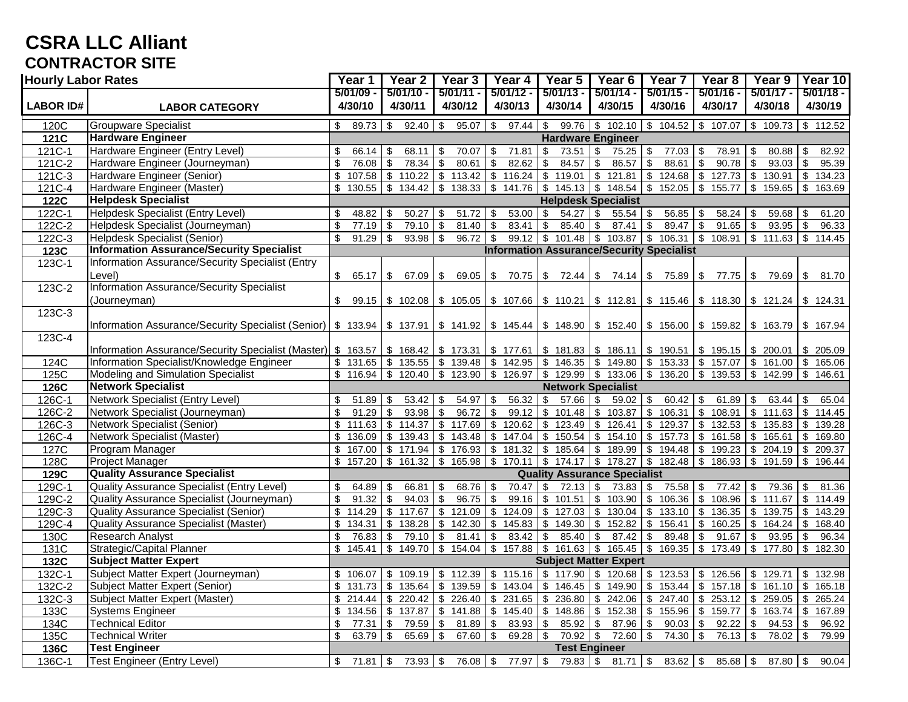# **CSRA LLC Alliant CONTRACTOR SITE**

| <b>Hourly Labor Rates</b> |                                                                                                                                                                            |                          | Year 2                             | Year 3                                                                                                                                                                                                            | Year 4                                                  | $\overline{Y}$ ear 5                                                       | Year <sub>6</sub>                                                                                                             | Year 7                           | Year 8                                   | Year 9                                   | Year 10                |  |  |
|---------------------------|----------------------------------------------------------------------------------------------------------------------------------------------------------------------------|--------------------------|------------------------------------|-------------------------------------------------------------------------------------------------------------------------------------------------------------------------------------------------------------------|---------------------------------------------------------|----------------------------------------------------------------------------|-------------------------------------------------------------------------------------------------------------------------------|----------------------------------|------------------------------------------|------------------------------------------|------------------------|--|--|
| <b>LABOR ID#</b>          | <b>LABOR CATEGORY</b>                                                                                                                                                      | $5/01/09 -$<br>4/30/10   | $5/01/10 -$<br>4/30/11             | $5/01/11 -$<br>4/30/12                                                                                                                                                                                            | $5/01/12 -$<br>4/30/13                                  | $5/01/13 -$<br>4/30/14                                                     | $5/01/14 -$<br>4/30/15                                                                                                        | $5/01/15 -$<br>4/30/16           | $5/01/16 -$<br>4/30/17                   | $5/01/17 -$<br>4/30/18                   | $5/01/18 -$<br>4/30/19 |  |  |
|                           |                                                                                                                                                                            |                          |                                    |                                                                                                                                                                                                                   |                                                         |                                                                            |                                                                                                                               |                                  |                                          |                                          |                        |  |  |
| 120C                      | <b>Groupware Specialist</b>                                                                                                                                                | \$<br>89.73              | $\boldsymbol{\mathsf{S}}$<br>92.40 | $\sqrt[6]{\frac{1}{2}}$<br>95.07                                                                                                                                                                                  | $\sqrt[6]{3}$<br>97.44                                  | $\sqrt[6]{\frac{1}{2}}$                                                    | $99.76$ \$ 102.10 \$ 104.52                                                                                                   |                                  | $\bullet$<br>107.07                      | \$109.73                                 | $\frac{1}{2}$ 112.52   |  |  |
| 121C                      | <b>Hardware Engineer</b>                                                                                                                                                   |                          | <b>Hardware Engineer</b>           |                                                                                                                                                                                                                   |                                                         |                                                                            |                                                                                                                               |                                  |                                          |                                          |                        |  |  |
| 121C-1                    | Hardware Engineer (Entry Level)                                                                                                                                            | \$<br>66.14              | \$<br>68.11                        | \$<br>70.07                                                                                                                                                                                                       | 71.81<br>\$                                             | $73.51$ \\$<br>\$                                                          | $75.25$ \\$                                                                                                                   | 77.03                            | 78.91<br>-\$                             | 80.88<br>\$                              | 82.92<br>\$            |  |  |
| 121C-2                    | Hardware Engineer (Journeyman)                                                                                                                                             | \$<br>76.08              | $\mathfrak s$<br>78.34             | 80.61<br>\$                                                                                                                                                                                                       | 82.62<br>\$                                             | $\mathfrak{S}$<br>84.57                                                    | \$<br>86.57                                                                                                                   | $\sqrt[6]{\frac{1}{2}}$<br>88.61 | $\mathfrak s$<br>90.78                   | $\mathfrak{L}$<br>93.03                  | \$<br>95.39            |  |  |
| 121C-3                    | Hardware Engineer (Senior)                                                                                                                                                 | \$<br>107.58             | \$<br>110.22                       | $\boldsymbol{\mathsf{S}}$<br>113.42                                                                                                                                                                               | $\,$<br>116.24                                          | \$119.01                                                                   | \$121.81                                                                                                                      | $\bullet$<br>124.68              | $\sqrt[6]{3}$<br>127.73                  | $\boldsymbol{\mathsf{S}}$<br>130.91      | $\sqrt{3}$<br>134.23   |  |  |
| 121C-4                    | Hardware Engineer (Master)                                                                                                                                                 | \$<br>130.55             |                                    |                                                                                                                                                                                                                   | 138.33 \$ 141.76                                        |                                                                            | $$145.13$ $$148.54$ $$152.05$                                                                                                 |                                  | $\frac{1}{2}$ 155.77                     |                                          | $$159.65$ $$163.69$    |  |  |
| 122C                      | <b>Helpdesk Specialist</b>                                                                                                                                                 |                          |                                    |                                                                                                                                                                                                                   |                                                         |                                                                            | <b>Helpdesk Specialist</b>                                                                                                    |                                  |                                          |                                          |                        |  |  |
| $122C-1$                  | <b>Helpdesk Specialist (Entry Level)</b>                                                                                                                                   | \$<br>48.82              | \$<br>50.27                        | 51.72<br>\$                                                                                                                                                                                                       | 53.00<br>\$                                             | \$<br>$54.27$ \$                                                           | $55.54$ \$                                                                                                                    | 56.85                            | 58.24<br>-\$                             | 59.68<br>\$                              | 61.20<br>-\$           |  |  |
| 122C-2                    | Helpdesk Specialist (Journeyman)                                                                                                                                           | \$<br>77.19              | $\sqrt[6]{3}$<br>79.10             | l \$<br>81.40                                                                                                                                                                                                     | 83.41<br>\$                                             | $\boldsymbol{\mathsf{S}}$<br>$85.40$ \$                                    | $87.41$ \\$                                                                                                                   | $89.47$ \$                       | $91.65$ \$                               | $93.95$ \$                               | 96.33                  |  |  |
| 122C-3                    | <b>Helpdesk Specialist (Senior)</b>                                                                                                                                        | \$<br>91.29              | $\boldsymbol{\mathsf{S}}$<br>93.98 | $\overline{\mathbf{3}}$<br>96.72                                                                                                                                                                                  | $\sqrt[6]{\frac{1}{2}}$<br>99.12                        |                                                                            | $\frac{1}{3}$ 101.48 $\frac{1}{3}$ 103.87 $\frac{1}{3}$ 106.31 $\frac{1}{3}$ 108.91 $\frac{1}{3}$ 111.63 $\frac{1}{3}$ 114.45 |                                  |                                          |                                          |                        |  |  |
| 123C                      | <b>Information Assurance/Security Specialist</b>                                                                                                                           |                          |                                    |                                                                                                                                                                                                                   | <b>Information Assurance/Security Specialist</b>        |                                                                            |                                                                                                                               |                                  |                                          |                                          |                        |  |  |
| 123C-1                    | <b>Information Assurance/Security Specialist (Entry</b>                                                                                                                    |                          |                                    |                                                                                                                                                                                                                   |                                                         |                                                                            |                                                                                                                               |                                  |                                          |                                          |                        |  |  |
|                           | Level)                                                                                                                                                                     | \$65.17                  | \$<br>67.09 \$                     |                                                                                                                                                                                                                   | $69.05$ \$ 70.75 \$ 72.44 \$ 74.14 \$ 75.89 \$ 77.75 \$ |                                                                            |                                                                                                                               |                                  |                                          | 79.69 \$                                 | 81.70                  |  |  |
| 123C-2                    | <b>Information Assurance/Security Specialist</b>                                                                                                                           |                          |                                    |                                                                                                                                                                                                                   |                                                         |                                                                            |                                                                                                                               |                                  |                                          |                                          |                        |  |  |
|                           | (Journeyman)                                                                                                                                                               | \$                       |                                    | 99.15 \$ 102.08 \$ 105.05 \$ 107.66 \$ 110.21 \$ 112.81 \$ 115.46 \$ 118.30 \$ 121.24 \$ 124.31                                                                                                                   |                                                         |                                                                            |                                                                                                                               |                                  |                                          |                                          |                        |  |  |
| 123C-3                    |                                                                                                                                                                            |                          |                                    |                                                                                                                                                                                                                   |                                                         |                                                                            |                                                                                                                               |                                  |                                          |                                          |                        |  |  |
|                           | Information Assurance/Security Specialist (Senior)   \$ 133.94   \$ 137.91   \$ 141.92   \$ 145.44   \$ 148.90   \$ 152.40   \$ 156.00   \$ 159.82   \$ 163.79   \$ 167.94 |                          |                                    |                                                                                                                                                                                                                   |                                                         |                                                                            |                                                                                                                               |                                  |                                          |                                          |                        |  |  |
| 123C-4                    |                                                                                                                                                                            |                          |                                    |                                                                                                                                                                                                                   |                                                         |                                                                            |                                                                                                                               |                                  |                                          |                                          |                        |  |  |
|                           | Information Assurance/Security Specialist (Master) \$ 163.57 \$ 168.42 \$ 173.31 \$ 177.61 \$ 181.83 \$ 186.11 \$ 190.51 \$ 195.15 \$ 200.01 \$ 205.09                     |                          |                                    |                                                                                                                                                                                                                   |                                                         |                                                                            |                                                                                                                               |                                  |                                          |                                          |                        |  |  |
| 124C                      | Information Specialist/Knowledge Engineer                                                                                                                                  |                          |                                    | $\frac{1}{2}$ 131.65 $\frac{1}{2}$ 135.55 $\frac{1}{2}$ 139.48 $\frac{1}{2}$ 142.95 $\frac{1}{2}$ 146.35 $\frac{1}{2}$ 149.80 $\frac{1}{2}$ 153.33 $\frac{1}{2}$ 157.07 $\frac{1}{2}$ 161.00 $\frac{1}{2}$ 165.06 |                                                         |                                                                            |                                                                                                                               |                                  |                                          |                                          |                        |  |  |
| 125C                      | Modeling and Simulation Specialist                                                                                                                                         | \$116.94                 | \$120.40                           |                                                                                                                                                                                                                   | $$123.90$ $$126.97$                                     |                                                                            | $$129.99$ $$133.06$ $$136.20$                                                                                                 |                                  | $\bullet$                                | 139.53 \$ 142.99                         | \$146.61               |  |  |
| 126C                      | <b>Network Specialist</b>                                                                                                                                                  |                          |                                    |                                                                                                                                                                                                                   |                                                         |                                                                            | <b>Network Specialist</b>                                                                                                     |                                  |                                          |                                          |                        |  |  |
| 126C-1                    | <b>Network Specialist (Entry Level)</b>                                                                                                                                    | 51.89<br>\$              | \$<br>53.42                        | 54.97<br>\$                                                                                                                                                                                                       | 56.32<br>\$                                             | $\sqrt[6]{2}$<br>$57.66$ \$                                                | $59.02$ \$                                                                                                                    | $60.42$ \$                       |                                          | $63.44$ \ \ \$                           | 65.04                  |  |  |
| 126C-2                    | Network Specialist (Journeyman)                                                                                                                                            | \$<br>91.29              | $\boldsymbol{\mathsf{S}}$<br>93.98 | \$<br>96.72                                                                                                                                                                                                       | 99.12<br>\$                                             | $\sqrt{$}$ 101.48                                                          | \$103.87                                                                                                                      | $\sqrt[6]{2}$<br>106.31          | $\sqrt{3}$<br>108.91                     | $\sqrt[6]{\frac{1}{2}}$<br>111.63        | $\bullet$<br>114.45    |  |  |
| 126C-3                    | <b>Network Specialist (Senior)</b>                                                                                                                                         | $$\mathbb{S}$$<br>111.63 |                                    | $$114.37 \t{5} 117.69 \t{5} 120.62]$                                                                                                                                                                              |                                                         |                                                                            | $$123.49$ $$126.41$                                                                                                           | $$129.37$ \\$                    |                                          | $132.53$ \$ 135.83 \$                    | 139.28                 |  |  |
| 126C-4                    | Network Specialist (Master)                                                                                                                                                | \$<br>136.09             | $\overline{\$}$ 139.43             | \$<br>143.48                                                                                                                                                                                                      | 147.04<br>\$                                            | \$150.54                                                                   | \$154.10                                                                                                                      | $\bullet$<br>157.73              | $\bullet$<br>161.58                      | $\sqrt[6]{\frac{1}{2}}$<br>165.61        | \$<br>169.80           |  |  |
| 127C                      | Program Manager                                                                                                                                                            | $$\mathbb{S}$$<br>167.00 | \$171.94                           | $\frac{1}{3}$ 176.93 \$                                                                                                                                                                                           | 181.32                                                  |                                                                            | $$185.64$ $$189.99$ $$194.48$                                                                                                 |                                  |                                          | $\frac{1}{199.23}$ \$ 204.19             | $\sqrt{3}$<br>209.37   |  |  |
| 128C                      | <b>Project Manager</b>                                                                                                                                                     | \$<br>157.20             | \$161.32                           | $\bullet$<br>165.98                                                                                                                                                                                               | 170.11<br>\$                                            |                                                                            | $$174.17$ $$178.27$ $$182.48$                                                                                                 |                                  | $\bullet$                                | 186.93 \$191.59                          | <b>\$</b><br>196.44    |  |  |
| 129C                      | <b>Quality Assurance Specialist</b>                                                                                                                                        |                          |                                    |                                                                                                                                                                                                                   |                                                         | <b>Quality Assurance Specialist</b>                                        |                                                                                                                               |                                  |                                          |                                          |                        |  |  |
| 129C-1                    | <b>Quality Assurance Specialist (Entry Level)</b>                                                                                                                          | \$<br>64.89              | \$<br>66.81                        | 68.76 \$<br>\$                                                                                                                                                                                                    | 70.47                                                   | \$<br>$72.13$ \$                                                           | $73.83$ \$                                                                                                                    | $75.58$ \\$                      | 77.42                                    | \$<br>79.36                              | 81.36<br>$\sqrt{3}$    |  |  |
| 129C-2                    | Quality Assurance Specialist (Journeyman)                                                                                                                                  | \$<br>91.32              | $\boldsymbol{\mathsf{S}}$<br>94.03 | $\boldsymbol{\mathsf{S}}$<br>96.75                                                                                                                                                                                | $\sqrt[6]{\frac{1}{2}}$<br>99.16                        | \$101.51                                                                   | $\frac{1}{3}$ 103.90 \$ 106.36                                                                                                |                                  |                                          | $\frac{1}{1}$ \$ 108.96 \ \$ 111.67 \ \$ | 114.49                 |  |  |
| 129C-3                    | <b>Quality Assurance Specialist (Senior)</b>                                                                                                                               | 114.29<br>\$             | \$117.67                           | ها<br>$121.09$ \$                                                                                                                                                                                                 |                                                         | $124.09$ \$ 127.03 \$ 130.04 \$ 133.10 \$                                  |                                                                                                                               |                                  | $136.35$ \$                              | $139.75$ \$                              | 143.29                 |  |  |
| 129C-4                    | <b>Quality Assurance Specialist (Master)</b>                                                                                                                               | \$<br>134.31             | \$<br>138.28                       | \$<br>142.30                                                                                                                                                                                                      | \$<br>145.83                                            |                                                                            | $$149.30 \mid $152.82 \mid $$                                                                                                 | 156.41                           | $160.25$ \$<br>$\sqrt{3}$                | 164.24                                   | $\sqrt{3}$<br>168.40   |  |  |
| 130C                      | <b>Research Analyst</b>                                                                                                                                                    | \$<br>76.83              | $\boldsymbol{\mathsf{S}}$<br>79.10 | $\sqrt{3}$<br>81.41                                                                                                                                                                                               | $\boldsymbol{\mathsf{S}}$<br>83.42                      | $\boldsymbol{\mathsf{S}}$<br>$85.40$ \$                                    | $87.42$ \$                                                                                                                    | 89.48                            | $\sqrt[6]{3}$<br>$91.67$ \$              | $93.95$ \$                               | 96.34                  |  |  |
| 131C                      | Strategic/Capital Planner                                                                                                                                                  | \$<br>145.41             | \$149.70                           | $\bullet$<br>154.04                                                                                                                                                                                               |                                                         | $$157.88 \t{5} 161.63 \t{5} 165.45 \t{5} 169.35 \t{5} 173.49 \t{5} 177.80$ |                                                                                                                               |                                  |                                          |                                          | $\sqrt{3}$<br>182.30   |  |  |
| 132C                      | <b>Subject Matter Expert</b>                                                                                                                                               |                          |                                    |                                                                                                                                                                                                                   |                                                         | <b>Subject Matter Expert</b>                                               |                                                                                                                               |                                  |                                          |                                          |                        |  |  |
| 132C-1                    | Subject Matter Expert (Journeyman)                                                                                                                                         | \$<br>106.07             | \$109.19                           | \$112.39                                                                                                                                                                                                          |                                                         | $$115.16 \t{s} 117.90 \t{s} 120.68 \t{s} 123.53$                           |                                                                                                                               |                                  | \$126.56                                 | \$<br>129.71                             | \$132.98               |  |  |
| 132C-2                    | Subject Matter Expert (Senior)                                                                                                                                             | \$<br>131.73             | \$135.64                           | $\sqrt[6]{2}$<br>139.59                                                                                                                                                                                           | \$143.04                                                |                                                                            | $$146.45 \t{5} 149.90 \t{5} 153.44$                                                                                           |                                  | \$157.18                                 | \$161.10                                 | \$165.18               |  |  |
| 132C-3                    | Subject Matter Expert (Master)                                                                                                                                             | \$<br>214.44             | \$220.42                           | $\sqrt{3}$<br>226.40                                                                                                                                                                                              | $\sqrt[6]{3}$<br>231.65                                 |                                                                            | $$236.80 \t$242.06 \t$247.40$                                                                                                 |                                  | \$253.12                                 | \$<br>259.05                             | $\sqrt{3}$<br>265.24   |  |  |
| 133C                      | <b>Systems Engineer</b>                                                                                                                                                    | \$<br>134.56             | \$137.87                           | $\sqrt{3}$                                                                                                                                                                                                        | $141.88$ \$ $145.40$ \$ $148.86$ \$ $152.38$ \$ 155.96  |                                                                            |                                                                                                                               |                                  |                                          | $$159.77 \t{5} 163.74 \t{5}$             | 167.89                 |  |  |
| 134C                      | <b>Technical Editor</b>                                                                                                                                                    | \$<br>77.31              | \$<br>79.59                        | $\sqrt{3}$<br>$81.89$ \$                                                                                                                                                                                          | $83.93$ \$                                              | $85.92$ \$                                                                 | $87.96$ \$                                                                                                                    | 90.03                            | $\boldsymbol{\mathsf{\$}}$<br>$92.22$ \$ | $94.53$ \$                               | 96.92                  |  |  |
| 135C                      | <b>Technical Writer</b>                                                                                                                                                    | \$<br>63.79              | $\sqrt[6]{3}$<br>65.69             | [\$<br>$67.60$ \$                                                                                                                                                                                                 | $69.28$ \$                                              |                                                                            | $70.92$ \$ 72.60 \$                                                                                                           | 74.30                            | $\sqrt{3}$<br>$76.13$ \$                 | $78.02$ \$                               | 79.99                  |  |  |
| 136C                      | <b>Test Engineer</b>                                                                                                                                                       |                          |                                    |                                                                                                                                                                                                                   |                                                         |                                                                            | <b>Test Engineer</b>                                                                                                          |                                  |                                          |                                          |                        |  |  |
| 136C-1                    | <b>Test Engineer (Entry Level)</b>                                                                                                                                         | $71.81$ \$<br>\$         | $73.93$ \$                         | 76.08 \$                                                                                                                                                                                                          | 77.97 \$                                                | $79.83$ \$                                                                 | $81.71$ \$                                                                                                                    | $83.62$ \$                       | $85.68$ \$                               | 87.80                                    | <b>\$</b><br>90.04     |  |  |